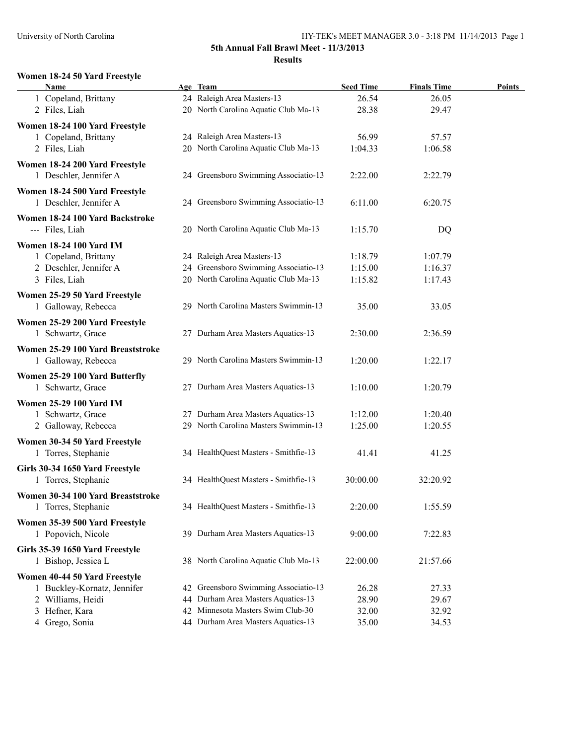# **Women 18-24 50 Yard Freestyle**

| Name                                                   |    | Age Team                             | <b>Seed Time</b> | <b>Finals Time</b> | <b>Points</b> |
|--------------------------------------------------------|----|--------------------------------------|------------------|--------------------|---------------|
| 1 Copeland, Brittany                                   |    | 24 Raleigh Area Masters-13           | 26.54            | 26.05              |               |
| 2 Files, Liah                                          |    | 20 North Carolina Aquatic Club Ma-13 | 28.38            | 29.47              |               |
| Women 18-24 100 Yard Freestyle                         |    |                                      |                  |                    |               |
| 1 Copeland, Brittany                                   |    | 24 Raleigh Area Masters-13           | 56.99            | 57.57              |               |
| 2 Files, Liah                                          |    | 20 North Carolina Aquatic Club Ma-13 | 1:04.33          | 1:06.58            |               |
| Women 18-24 200 Yard Freestyle                         |    |                                      |                  |                    |               |
| 1 Deschler, Jennifer A                                 |    | 24 Greensboro Swimming Associatio-13 | 2:22.00          | 2:22.79            |               |
|                                                        |    |                                      |                  |                    |               |
| Women 18-24 500 Yard Freestyle                         |    |                                      |                  |                    |               |
| 1 Deschler, Jennifer A                                 |    | 24 Greensboro Swimming Associatio-13 | 6:11.00          | 6:20.75            |               |
| Women 18-24 100 Yard Backstroke                        |    |                                      |                  |                    |               |
| --- Files, Liah                                        |    | 20 North Carolina Aquatic Club Ma-13 | 1:15.70          | DQ                 |               |
| <b>Women 18-24 100 Yard IM</b>                         |    |                                      |                  |                    |               |
| 1 Copeland, Brittany                                   |    | 24 Raleigh Area Masters-13           | 1:18.79          | 1:07.79            |               |
| 2 Deschler, Jennifer A                                 |    | 24 Greensboro Swimming Associatio-13 | 1:15.00          | 1:16.37            |               |
| 3 Files, Liah                                          |    | 20 North Carolina Aquatic Club Ma-13 | 1:15.82          | 1:17.43            |               |
| Women 25-29 50 Yard Freestyle                          |    |                                      |                  |                    |               |
| 1 Galloway, Rebecca                                    |    | 29 North Carolina Masters Swimmin-13 | 35.00            | 33.05              |               |
| Women 25-29 200 Yard Freestyle                         |    |                                      |                  |                    |               |
| 1 Schwartz, Grace                                      |    | 27 Durham Area Masters Aquatics-13   | 2:30.00          | 2:36.59            |               |
|                                                        |    |                                      |                  |                    |               |
| Women 25-29 100 Yard Breaststroke                      |    |                                      |                  |                    |               |
| 1 Galloway, Rebecca                                    |    | 29 North Carolina Masters Swimmin-13 | 1:20.00          | 1:22.17            |               |
| Women 25-29 100 Yard Butterfly                         |    |                                      |                  |                    |               |
| 1 Schwartz, Grace                                      |    | 27 Durham Area Masters Aquatics-13   | 1:10.00          | 1:20.79            |               |
| <b>Women 25-29 100 Yard IM</b>                         |    |                                      |                  |                    |               |
| 1 Schwartz, Grace                                      |    | 27 Durham Area Masters Aquatics-13   | 1:12.00          | 1:20.40            |               |
| 2 Galloway, Rebecca                                    |    | 29 North Carolina Masters Swimmin-13 | 1:25.00          | 1:20.55            |               |
| Women 30-34 50 Yard Freestyle                          |    |                                      |                  |                    |               |
| 1 Torres, Stephanie                                    |    | 34 HealthQuest Masters - Smithfie-13 | 41.41            | 41.25              |               |
|                                                        |    |                                      |                  |                    |               |
| Girls 30-34 1650 Yard Freestyle<br>1 Torres, Stephanie |    | 34 HealthQuest Masters - Smithfie-13 | 30:00.00         | 32:20.92           |               |
|                                                        |    |                                      |                  |                    |               |
| Women 30-34 100 Yard Breaststroke                      |    |                                      |                  |                    |               |
| 1 Torres, Stephanie                                    |    | 34 HealthQuest Masters - Smithfie-13 | 2:20.00          | 1:55.59            |               |
| Women 35-39 500 Yard Freestyle                         |    |                                      |                  |                    |               |
| 1 Popovich, Nicole                                     |    | 39 Durham Area Masters Aquatics-13   | 9:00.00          | 7:22.83            |               |
| Girls 35-39 1650 Yard Freestyle                        |    |                                      |                  |                    |               |
| 1 Bishop, Jessica L                                    |    | 38 North Carolina Aquatic Club Ma-13 | 22:00.00         | 21:57.66           |               |
| Women 40-44 50 Yard Freestyle                          |    |                                      |                  |                    |               |
| 1 Buckley-Kornatz, Jennifer                            |    | 42 Greensboro Swimming Associatio-13 | 26.28            | 27.33              |               |
| 2 Williams, Heidi                                      | 44 | Durham Area Masters Aquatics-13      | 28.90            | 29.67              |               |
| 3 Hefner, Kara                                         |    | 42 Minnesota Masters Swim Club-30    | 32.00            | 32.92              |               |
| 4 Grego, Sonia                                         |    | 44 Durham Area Masters Aquatics-13   | 35.00            | 34.53              |               |
|                                                        |    |                                      |                  |                    |               |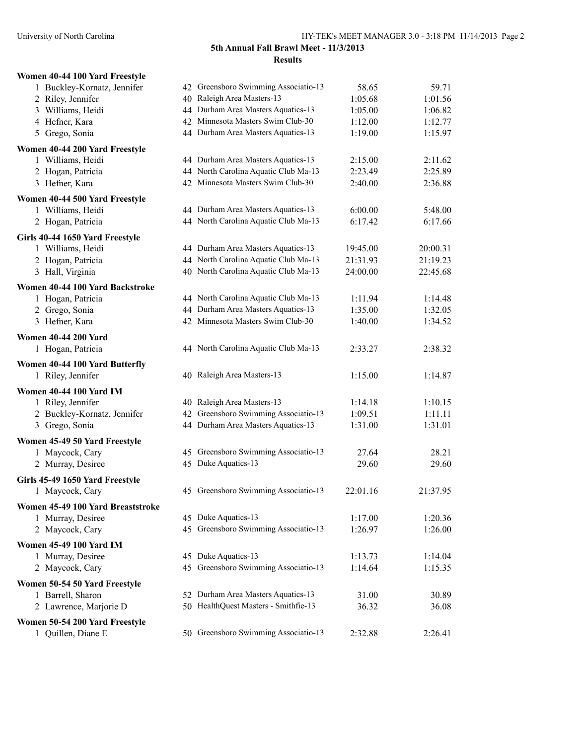| Women 40-44 100 Yard Freestyle    |                                      |          |          |
|-----------------------------------|--------------------------------------|----------|----------|
| 1 Buckley-Kornatz, Jennifer       | 42 Greensboro Swimming Associatio-13 | 58.65    | 59.71    |
| 2 Riley, Jennifer                 | 40 Raleigh Area Masters-13           | 1:05.68  | 1:01.56  |
| 3 Williams, Heidi                 | 44 Durham Area Masters Aquatics-13   | 1:05.00  | 1:06.82  |
| 4 Hefner, Kara                    | 42 Minnesota Masters Swim Club-30    | 1:12.00  | 1:12.77  |
| 5 Grego, Sonia                    | 44 Durham Area Masters Aquatics-13   | 1:19.00  | 1:15.97  |
| Women 40-44 200 Yard Freestyle    |                                      |          |          |
| 1 Williams, Heidi                 | 44 Durham Area Masters Aquatics-13   | 2:15.00  | 2:11.62  |
| 2 Hogan, Patricia                 | 44 North Carolina Aquatic Club Ma-13 | 2:23.49  | 2:25.89  |
| 3 Hefner, Kara                    | 42 Minnesota Masters Swim Club-30    | 2:40.00  | 2:36.88  |
| Women 40-44 500 Yard Freestyle    |                                      |          |          |
| 1 Williams, Heidi                 | 44 Durham Area Masters Aquatics-13   | 6:00.00  | 5:48.00  |
| 2 Hogan, Patricia                 | 44 North Carolina Aquatic Club Ma-13 | 6:17.42  | 6:17.66  |
| Girls 40-44 1650 Yard Freestyle   |                                      |          |          |
| 1 Williams, Heidi                 | 44 Durham Area Masters Aquatics-13   | 19:45.00 | 20:00.31 |
| 2 Hogan, Patricia                 | 44 North Carolina Aquatic Club Ma-13 | 21:31.93 | 21:19.23 |
| 3 Hall, Virginia                  | 40 North Carolina Aquatic Club Ma-13 | 24:00.00 | 22:45.68 |
| Women 40-44 100 Yard Backstroke   |                                      |          |          |
| 1 Hogan, Patricia                 | 44 North Carolina Aquatic Club Ma-13 | 1:11.94  | 1:14.48  |
| 2 Grego, Sonia                    | 44 Durham Area Masters Aquatics-13   | 1:35.00  | 1:32.05  |
| 3 Hefner, Kara                    | 42 Minnesota Masters Swim Club-30    | 1:40.00  | 1:34.52  |
| <b>Women 40-44 200 Yard</b>       |                                      |          |          |
| 1 Hogan, Patricia                 | 44 North Carolina Aquatic Club Ma-13 | 2:33.27  | 2:38.32  |
| Women 40-44 100 Yard Butterfly    |                                      |          |          |
| 1 Riley, Jennifer                 | 40 Raleigh Area Masters-13           | 1:15.00  | 1:14.87  |
| <b>Women 40-44 100 Yard IM</b>    |                                      |          |          |
| 1 Riley, Jennifer                 | 40 Raleigh Area Masters-13           | 1:14.18  | 1:10.15  |
| 2 Buckley-Kornatz, Jennifer       | 42 Greensboro Swimming Associatio-13 | 1:09.51  | 1:11.11  |
| 3 Grego, Sonia                    | 44 Durham Area Masters Aquatics-13   | 1:31.00  | 1:31.01  |
| Women 45-49 50 Yard Freestyle     |                                      |          |          |
| 1 Maycock, Cary                   | 45 Greensboro Swimming Associatio-13 | 27.64    | 28.21    |
| 2 Murray, Desiree                 | 45 Duke Aquatics-13                  | 29.60    | 29.60    |
| Girls 45-49 1650 Yard Freestyle   |                                      |          |          |
| 1 Maycock, Cary                   | 45 Greensboro Swimming Associatio-13 | 22:01.16 | 21:37.95 |
| Women 45-49 100 Yard Breaststroke |                                      |          |          |
| 1 Murray, Desiree                 | 45 Duke Aquatics-13                  | 1:17.00  | 1:20.36  |
| 2 Maycock, Cary                   | 45 Greensboro Swimming Associatio-13 | 1:26.97  | 1:26.00  |
| <b>Women 45-49 100 Yard IM</b>    |                                      |          |          |
| 1 Murray, Desiree                 | 45 Duke Aquatics-13                  | 1:13.73  | 1:14.04  |
| 2 Maycock, Cary                   | 45 Greensboro Swimming Associatio-13 | 1:14.64  | 1:15.35  |
| Women 50-54 50 Yard Freestyle     |                                      |          |          |
| 1 Barrell, Sharon                 | 52 Durham Area Masters Aquatics-13   | 31.00    | 30.89    |
| 2 Lawrence, Marjorie D            | 50 HealthQuest Masters - Smithfie-13 | 36.32    | 36.08    |
| Women 50-54 200 Yard Freestyle    |                                      |          |          |
| 1 Quillen, Diane E                | 50 Greensboro Swimming Associatio-13 | 2:32.88  | 2:26.41  |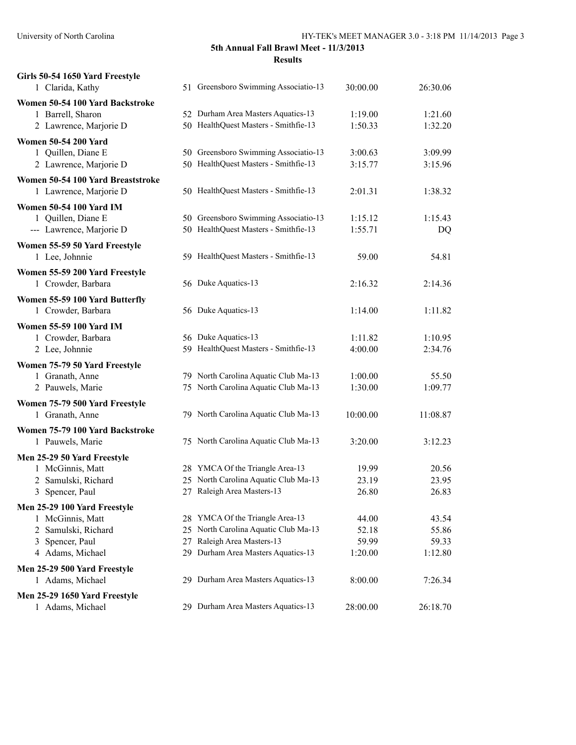| Girls 50-54 1650 Yard Freestyle<br>1 Clarida, Kathy                                                            | 51 Greensboro Swimming Associatio-13                                                                                                        | 30:00.00                           | 26:30.06                           |
|----------------------------------------------------------------------------------------------------------------|---------------------------------------------------------------------------------------------------------------------------------------------|------------------------------------|------------------------------------|
| Women 50-54 100 Yard Backstroke<br>1 Barrell, Sharon<br>2 Lawrence, Marjorie D                                 | 52 Durham Area Masters Aquatics-13<br>50 HealthQuest Masters - Smithfie-13                                                                  | 1:19.00<br>1:50.33                 | 1:21.60<br>1:32.20                 |
| <b>Women 50-54 200 Yard</b><br>1 Quillen, Diane E<br>2 Lawrence, Marjorie D                                    | 50 Greensboro Swimming Associatio-13<br>50 HealthQuest Masters - Smithfie-13                                                                | 3:00.63<br>3:15.77                 | 3:09.99<br>3:15.96                 |
| Women 50-54 100 Yard Breaststroke<br>1 Lawrence, Marjorie D                                                    | 50 HealthQuest Masters - Smithfie-13                                                                                                        | 2:01.31                            | 1:38.32                            |
| <b>Women 50-54 100 Yard IM</b><br>1 Quillen, Diane E<br>--- Lawrence, Marjorie D                               | 50 Greensboro Swimming Associatio-13<br>50 HealthQuest Masters - Smithfie-13                                                                | 1:15.12<br>1:55.71                 | 1:15.43<br>DQ                      |
| Women 55-59 50 Yard Freestyle<br>1 Lee, Johnnie                                                                | 59 HealthQuest Masters - Smithfie-13                                                                                                        | 59.00                              | 54.81                              |
| Women 55-59 200 Yard Freestyle<br>1 Crowder, Barbara                                                           | 56 Duke Aquatics-13                                                                                                                         | 2:16.32                            | 2:14.36                            |
| Women 55-59 100 Yard Butterfly<br>1 Crowder, Barbara                                                           | 56 Duke Aquatics-13                                                                                                                         | 1:14.00                            | 1:11.82                            |
| <b>Women 55-59 100 Yard IM</b><br>1 Crowder, Barbara<br>2 Lee, Johnnie                                         | 56 Duke Aquatics-13<br>59 HealthQuest Masters - Smithfie-13                                                                                 | 1:11.82<br>4:00.00                 | 1:10.95<br>2:34.76                 |
| Women 75-79 50 Yard Freestyle<br>1 Granath, Anne<br>2 Pauwels, Marie                                           | 79 North Carolina Aquatic Club Ma-13<br>75 North Carolina Aquatic Club Ma-13                                                                | 1:00.00<br>1:30.00                 | 55.50<br>1:09.77                   |
| Women 75-79 500 Yard Freestyle<br>1 Granath, Anne                                                              | 79 North Carolina Aquatic Club Ma-13                                                                                                        | 10:00.00                           | 11:08.87                           |
| Women 75-79 100 Yard Backstroke<br>1 Pauwels, Marie                                                            | 75 North Carolina Aquatic Club Ma-13                                                                                                        | 3:20.00                            | 3:12.23                            |
| Men 25-29 50 Yard Freestyle<br>1 McGinnis, Matt<br>2 Samulski, Richard<br>3 Spencer, Paul                      | 28 YMCA Of the Triangle Area-13<br>25 North Carolina Aquatic Club Ma-13<br>27 Raleigh Area Masters-13                                       | 19.99<br>23.19<br>26.80            | 20.56<br>23.95<br>26.83            |
| Men 25-29 100 Yard Freestyle<br>1 McGinnis, Matt<br>2 Samulski, Richard<br>3 Spencer, Paul<br>4 Adams, Michael | 28 YMCA Of the Triangle Area-13<br>25 North Carolina Aquatic Club Ma-13<br>27 Raleigh Area Masters-13<br>29 Durham Area Masters Aquatics-13 | 44.00<br>52.18<br>59.99<br>1:20.00 | 43.54<br>55.86<br>59.33<br>1:12.80 |
| Men 25-29 500 Yard Freestyle<br>1 Adams, Michael                                                               | 29 Durham Area Masters Aquatics-13                                                                                                          | 8:00.00                            | 7:26.34                            |
| Men 25-29 1650 Yard Freestyle<br>1 Adams, Michael                                                              | 29 Durham Area Masters Aquatics-13                                                                                                          | 28:00.00                           | 26:18.70                           |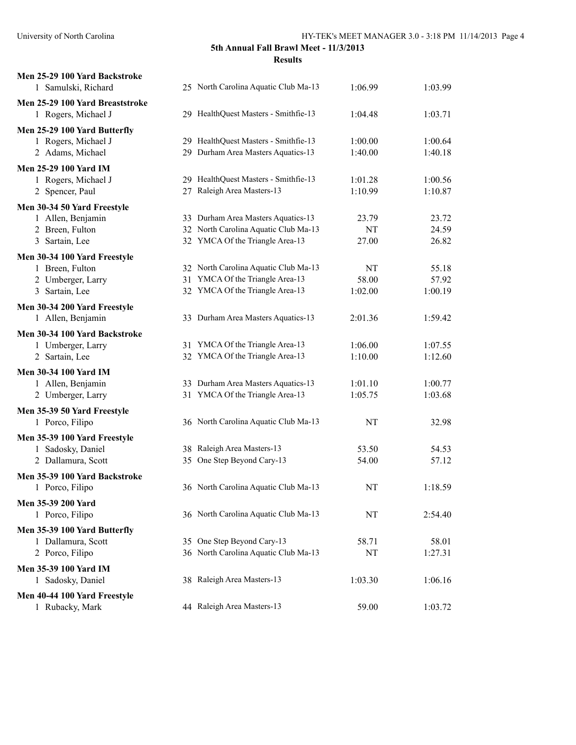| Men 25-29 100 Yard Backstroke<br>1 Samulski, Richard                                   | 25 North Carolina Aquatic Club Ma-13                                                                          | 1:06.99                | 1:03.99                   |
|----------------------------------------------------------------------------------------|---------------------------------------------------------------------------------------------------------------|------------------------|---------------------------|
| Men 25-29 100 Yard Breaststroke<br>1 Rogers, Michael J                                 | 29 HealthQuest Masters - Smithfie-13                                                                          | 1:04.48                | 1:03.71                   |
| Men 25-29 100 Yard Butterfly<br>1 Rogers, Michael J<br>2 Adams, Michael                | 29 HealthQuest Masters - Smithfie-13<br>29 Durham Area Masters Aquatics-13                                    | 1:00.00<br>1:40.00     | 1:00.64<br>1:40.18        |
| <b>Men 25-29 100 Yard IM</b><br>1 Rogers, Michael J<br>2 Spencer, Paul                 | 29 HealthQuest Masters - Smithfie-13<br>27 Raleigh Area Masters-13                                            | 1:01.28<br>1:10.99     | 1:00.56<br>1:10.87        |
| Men 30-34 50 Yard Freestyle<br>1 Allen, Benjamin<br>2 Breen, Fulton<br>3 Sartain, Lee  | 33 Durham Area Masters Aquatics-13<br>32 North Carolina Aquatic Club Ma-13<br>32 YMCA Of the Triangle Area-13 | 23.79<br>NT<br>27.00   | 23.72<br>24.59<br>26.82   |
| Men 30-34 100 Yard Freestyle<br>1 Breen, Fulton<br>2 Umberger, Larry<br>3 Sartain, Lee | 32 North Carolina Aquatic Club Ma-13<br>31 YMCA Of the Triangle Area-13<br>32 YMCA Of the Triangle Area-13    | NT<br>58.00<br>1:02.00 | 55.18<br>57.92<br>1:00.19 |
| Men 30-34 200 Yard Freestyle<br>1 Allen, Benjamin                                      | 33 Durham Area Masters Aquatics-13                                                                            | 2:01.36                | 1:59.42                   |
| Men 30-34 100 Yard Backstroke<br>1 Umberger, Larry<br>2 Sartain, Lee                   | 31 YMCA Of the Triangle Area-13<br>32 YMCA Of the Triangle Area-13                                            | 1:06.00<br>1:10.00     | 1:07.55<br>1:12.60        |
| <b>Men 30-34 100 Yard IM</b><br>1 Allen, Benjamin<br>2 Umberger, Larry                 | 33 Durham Area Masters Aquatics-13<br>31 YMCA Of the Triangle Area-13                                         | 1:01.10<br>1:05.75     | 1:00.77<br>1:03.68        |
| Men 35-39 50 Yard Freestyle<br>1 Porco, Filipo                                         | 36 North Carolina Aquatic Club Ma-13                                                                          | NT                     | 32.98                     |
| Men 35-39 100 Yard Freestyle<br>1 Sadosky, Daniel<br>2 Dallamura, Scott                | 38 Raleigh Area Masters-13<br>35 One Step Beyond Cary-13                                                      | 53.50<br>54.00         | 54.53<br>57.12            |
| Men 35-39 100 Yard Backstroke<br>1 Porco, Filipo                                       | 36 North Carolina Aquatic Club Ma-13                                                                          | NT                     | 1:18.59                   |
| <b>Men 35-39 200 Yard</b><br>1 Porco, Filipo                                           | 36 North Carolina Aquatic Club Ma-13                                                                          | NT                     | 2:54.40                   |
| Men 35-39 100 Yard Butterfly<br>1 Dallamura, Scott<br>2 Porco, Filipo                  | 35 One Step Beyond Cary-13<br>36 North Carolina Aquatic Club Ma-13                                            | 58.71<br>NT            | 58.01<br>1:27.31          |
| Men 35-39 100 Yard IM<br>1 Sadosky, Daniel                                             | 38 Raleigh Area Masters-13                                                                                    | 1:03.30                | 1:06.16                   |
| Men 40-44 100 Yard Freestyle<br>1 Rubacky, Mark                                        | 44 Raleigh Area Masters-13                                                                                    | 59.00                  | 1:03.72                   |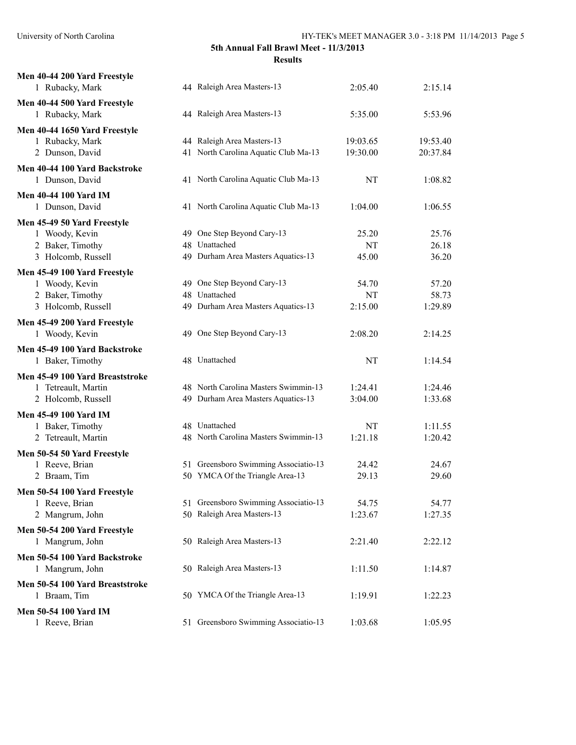| Men 40-44 200 Yard Freestyle<br>1 Rubacky, Mark | 44 Raleigh Area Masters-13                  | 2:05.40     | 2:15.14        |
|-------------------------------------------------|---------------------------------------------|-------------|----------------|
| Men 40-44 500 Yard Freestyle                    |                                             |             |                |
| 1 Rubacky, Mark                                 | 44 Raleigh Area Masters-13                  | 5:35.00     | 5:53.96        |
| Men 40-44 1650 Yard Freestyle                   |                                             |             |                |
| 1 Rubacky, Mark                                 | 44 Raleigh Area Masters-13                  | 19:03.65    | 19:53.40       |
| 2 Dunson, David                                 | 41 North Carolina Aquatic Club Ma-13        | 19:30.00    | 20:37.84       |
| Men 40-44 100 Yard Backstroke                   |                                             |             |                |
| 1 Dunson, David                                 | 41 North Carolina Aquatic Club Ma-13        | NT          | 1:08.82        |
| <b>Men 40-44 100 Yard IM</b>                    |                                             |             |                |
| 1 Dunson, David                                 | 41 North Carolina Aquatic Club Ma-13        | 1:04.00     | 1:06.55        |
| Men 45-49 50 Yard Freestyle                     |                                             |             |                |
| 1 Woody, Kevin                                  | 49 One Step Beyond Cary-13<br>48 Unattached | 25.20       | 25.76          |
| 2 Baker, Timothy<br>3 Holcomb, Russell          | 49 Durham Area Masters Aquatics-13          | NT<br>45.00 | 26.18<br>36.20 |
|                                                 |                                             |             |                |
| Men 45-49 100 Yard Freestyle<br>1 Woody, Kevin  | 49 One Step Beyond Cary-13                  | 54.70       | 57.20          |
| 2 Baker, Timothy                                | 48 Unattached                               | NT          | 58.73          |
| 3 Holcomb, Russell                              | 49 Durham Area Masters Aquatics-13          | 2:15.00     | 1:29.89        |
| Men 45-49 200 Yard Freestyle                    |                                             |             |                |
| 1 Woody, Kevin                                  | 49 One Step Beyond Cary-13                  | 2:08.20     | 2:14.25        |
| Men 45-49 100 Yard Backstroke                   |                                             |             |                |
| 1 Baker, Timothy                                | 48 Unattached                               | NT          | 1:14.54        |
| Men 45-49 100 Yard Breaststroke                 |                                             |             |                |
| 1 Tetreault, Martin                             | 48 North Carolina Masters Swimmin-13        | 1:24.41     | 1:24.46        |
| 2 Holcomb, Russell                              | 49 Durham Area Masters Aquatics-13          | 3:04.00     | 1:33.68        |
| <b>Men 45-49 100 Yard IM</b>                    |                                             |             |                |
| 1 Baker, Timothy                                | 48 Unattached                               | NT          | 1:11.55        |
| 2 Tetreault, Martin                             | 48 North Carolina Masters Swimmin-13        | 1:21.18     | 1:20.42        |
| Men 50-54 50 Yard Freestyle                     |                                             |             |                |
| 1 Reeve, Brian                                  | 51 Greensboro Swimming Associatio-13        | 24.42       | 24.67          |
| 2 Braam, Tim                                    | 50 YMCA Of the Triangle Area-13             | 29.13       | 29.60          |
| Men 50-54 100 Yard Freestyle                    |                                             |             |                |
| 1 Reeve, Brian                                  | 51 Greensboro Swimming Associatio-13        | 54.75       | 54.77          |
| 2 Mangrum, John                                 | 50 Raleigh Area Masters-13                  | 1:23.67     | 1:27.35        |
| Men 50-54 200 Yard Freestyle                    |                                             |             |                |
| 1 Mangrum, John                                 | 50 Raleigh Area Masters-13                  | 2:21.40     | 2:22.12        |
| Men 50-54 100 Yard Backstroke                   |                                             |             |                |
| 1 Mangrum, John                                 | 50 Raleigh Area Masters-13                  | 1:11.50     | 1:14.87        |
| Men 50-54 100 Yard Breaststroke                 |                                             |             |                |
| 1 Braam, Tim                                    | 50 YMCA Of the Triangle Area-13             | 1:19.91     | 1:22.23        |
| <b>Men 50-54 100 Yard IM</b>                    |                                             |             |                |
| 1 Reeve, Brian                                  | 51 Greensboro Swimming Associatio-13        | 1:03.68     | 1:05.95        |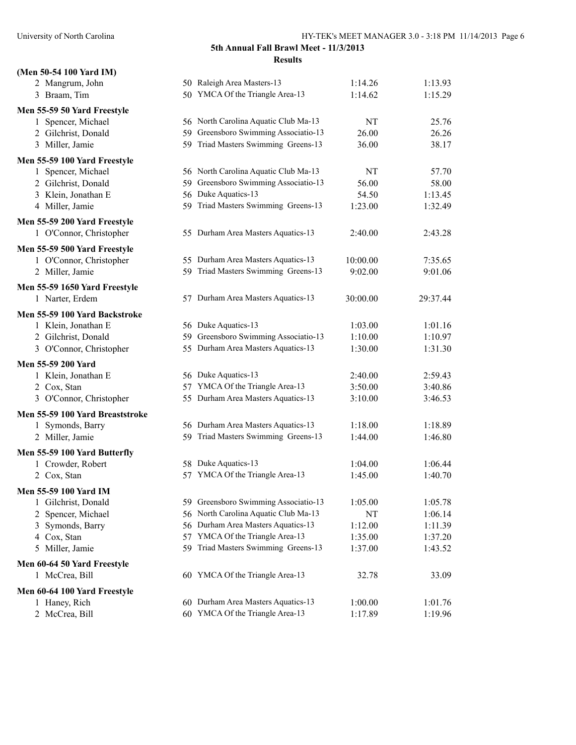| (Men 50-54 100 Yard IM)         |                                      |                    |                    |
|---------------------------------|--------------------------------------|--------------------|--------------------|
| 2 Mangrum, John                 | 50 Raleigh Area Masters-13           | 1:14.26            | 1:13.93            |
| 3 Braam, Tim                    | 50 YMCA Of the Triangle Area-13      | 1:14.62            | 1:15.29            |
| Men 55-59 50 Yard Freestyle     |                                      |                    |                    |
| 1 Spencer, Michael              | 56 North Carolina Aquatic Club Ma-13 | NT                 | 25.76              |
| 2 Gilchrist, Donald             | 59 Greensboro Swimming Associatio-13 | 26.00              | 26.26              |
| 3 Miller, Jamie                 | 59 Triad Masters Swimming Greens-13  | 36.00              | 38.17              |
| Men 55-59 100 Yard Freestyle    |                                      |                    |                    |
| 1 Spencer, Michael              | 56 North Carolina Aquatic Club Ma-13 | NT                 | 57.70              |
| 2 Gilchrist, Donald             | 59 Greensboro Swimming Associatio-13 | 56.00              | 58.00              |
| 3 Klein, Jonathan E             | 56 Duke Aquatics-13                  | 54.50              | 1:13.45            |
| 4 Miller, Jamie                 | 59 Triad Masters Swimming Greens-13  | 1:23.00            | 1:32.49            |
| Men 55-59 200 Yard Freestyle    |                                      |                    |                    |
| 1 O'Connor, Christopher         | 55 Durham Area Masters Aquatics-13   | 2:40.00            | 2:43.28            |
| Men 55-59 500 Yard Freestyle    |                                      |                    |                    |
| 1 O'Connor, Christopher         | 55 Durham Area Masters Aquatics-13   | 10:00.00           | 7:35.65            |
| 2 Miller, Jamie                 | 59 Triad Masters Swimming Greens-13  | 9:02.00            | 9:01.06            |
| Men 55-59 1650 Yard Freestyle   |                                      |                    |                    |
| 1 Narter, Erdem                 | 57 Durham Area Masters Aquatics-13   | 30:00.00           | 29:37.44           |
| Men 55-59 100 Yard Backstroke   |                                      |                    |                    |
| 1 Klein, Jonathan E             | 56 Duke Aquatics-13                  | 1:03.00            | 1:01.16            |
| 2 Gilchrist, Donald             | 59 Greensboro Swimming Associatio-13 | 1:10.00            | 1:10.97            |
| 3 O'Connor, Christopher         | 55 Durham Area Masters Aquatics-13   | 1:30.00            | 1:31.30            |
| Men 55-59 200 Yard              |                                      |                    |                    |
| 1 Klein, Jonathan E             | 56 Duke Aquatics-13                  | 2:40.00            | 2:59.43            |
| 2 Cox, Stan                     | 57 YMCA Of the Triangle Area-13      | 3:50.00            | 3:40.86            |
| 3 O'Connor, Christopher         | 55 Durham Area Masters Aquatics-13   | 3:10.00            | 3:46.53            |
| Men 55-59 100 Yard Breaststroke |                                      |                    |                    |
| 1 Symonds, Barry                | 56 Durham Area Masters Aquatics-13   | 1:18.00            | 1:18.89            |
| 2 Miller, Jamie                 | 59 Triad Masters Swimming Greens-13  | 1:44.00            | 1:46.80            |
| Men 55-59 100 Yard Butterfly    |                                      |                    |                    |
| 1 Crowder, Robert               | 58 Duke Aquatics-13                  | 1:04.00            | 1:06.44            |
| 2 Cox, Stan                     | 57 YMCA Of the Triangle Area-13      | 1:45.00            | 1:40.70            |
| Men 55-59 100 Yard IM           |                                      |                    |                    |
| 1 Gilchrist, Donald             | 59 Greensboro Swimming Associatio-13 | 1:05.00            | 1:05.78            |
| Spencer, Michael<br>2           | 56 North Carolina Aquatic Club Ma-13 | NT                 | 1:06.14            |
| Symonds, Barry<br>3             | 56 Durham Area Masters Aquatics-13   | 1:12.00            | 1:11.39            |
| 4 Cox, Stan                     | 57 YMCA Of the Triangle Area-13      | 1:35.00            | 1:37.20            |
| 5 Miller, Jamie                 | 59 Triad Masters Swimming Greens-13  | 1:37.00            | 1:43.52            |
| Men 60-64 50 Yard Freestyle     |                                      |                    |                    |
| 1 McCrea, Bill                  | 60 YMCA Of the Triangle Area-13      | 32.78              | 33.09              |
|                                 |                                      |                    |                    |
| Men 60-64 100 Yard Freestyle    | 60 Durham Area Masters Aquatics-13   |                    |                    |
| 1 Haney, Rich<br>2 McCrea, Bill | 60 YMCA Of the Triangle Area-13      | 1:00.00<br>1:17.89 | 1:01.76<br>1:19.96 |
|                                 |                                      |                    |                    |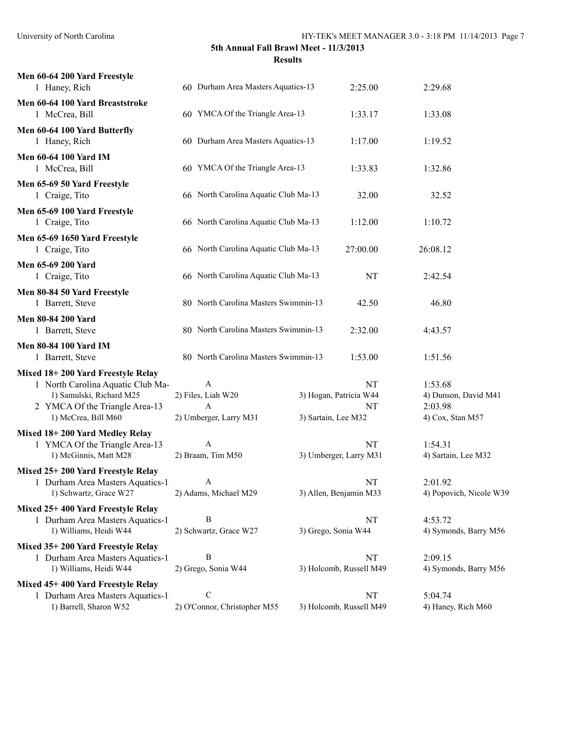| Men 60-64 200 Yard Freestyle<br>1 Haney, Rich                                                                                                               | 60 Durham Area Masters Aquatics-13                     | 2:25.00                                                   | 2:29.68                                                        |
|-------------------------------------------------------------------------------------------------------------------------------------------------------------|--------------------------------------------------------|-----------------------------------------------------------|----------------------------------------------------------------|
| Men 60-64 100 Yard Breaststroke<br>1 McCrea, Bill                                                                                                           | 60 YMCA Of the Triangle Area-13                        | 1:33.17                                                   | 1:33.08                                                        |
| Men 60-64 100 Yard Butterfly<br>1 Haney, Rich                                                                                                               | 60 Durham Area Masters Aquatics-13                     | 1:17.00                                                   | 1:19.52                                                        |
| <b>Men 60-64 100 Yard IM</b><br>1 McCrea, Bill                                                                                                              | 60 YMCA Of the Triangle Area-13                        | 1:33.83                                                   | 1:32.86                                                        |
| Men 65-69 50 Yard Freestyle<br>1 Craige, Tito                                                                                                               | 66 North Carolina Aquatic Club Ma-13                   | 32.00                                                     | 32.52                                                          |
| Men 65-69 100 Yard Freestyle<br>1 Craige, Tito                                                                                                              | 66 North Carolina Aquatic Club Ma-13                   | 1:12.00                                                   | 1:10.72                                                        |
| Men 65-69 1650 Yard Freestyle<br>1 Craige, Tito                                                                                                             | 66 North Carolina Aquatic Club Ma-13                   | 27:00.00                                                  | 26:08.12                                                       |
| Men 65-69 200 Yard<br>1 Craige, Tito                                                                                                                        | 66 North Carolina Aquatic Club Ma-13                   | NT                                                        | 2:42.54                                                        |
| Men 80-84 50 Yard Freestyle<br>1 Barrett, Steve                                                                                                             | 80 North Carolina Masters Swimmin-13                   | 42.50                                                     | 46.80                                                          |
| <b>Men 80-84 200 Yard</b><br>1 Barrett, Steve                                                                                                               | 80 North Carolina Masters Swimmin-13                   | 2:32.00                                                   | 4:43.57                                                        |
| <b>Men 80-84 100 Yard IM</b><br>1 Barrett, Steve                                                                                                            | 80 North Carolina Masters Swimmin-13                   | 1:53.00                                                   | 1:51.56                                                        |
| Mixed 18+200 Yard Freestyle Relay<br>1 North Carolina Aquatic Club Ma-<br>1) Samulski, Richard M25<br>2 YMCA Of the Triangle Area-13<br>1) McCrea, Bill M60 | A<br>2) Files, Liah W20<br>A<br>2) Umberger, Larry M31 | NT<br>3) Hogan, Patricia W44<br>NT<br>3) Sartain, Lee M32 | 1:53.68<br>4) Dunson, David M41<br>2:03.98<br>4) Cox, Stan M57 |
| Mixed 18+200 Yard Medley Relay<br>1 YMCA Of the Triangle Area-13<br>1) McGinnis, Matt M28                                                                   | $\mathbf{A}$<br>2) Braam, Tim M50                      | NT<br>3) Umberger, Larry M31                              | 1:54.31<br>4) Sartain, Lee M32                                 |
| Mixed 25+200 Yard Freestyle Relay<br>1 Durham Area Masters Aquatics-1<br>1) Schwartz, Grace W27                                                             | A<br>2) Adams, Michael M29                             | NT<br>3) Allen, Benjamin M33                              | 2:01.92<br>4) Popovich, Nicole W39                             |
| Mixed 25+400 Yard Freestyle Relay<br>1 Durham Area Masters Aquatics-1<br>1) Williams, Heidi W44                                                             | B<br>2) Schwartz, Grace W27                            | NT<br>3) Grego, Sonia W44                                 | 4:53.72<br>4) Symonds, Barry M56                               |
| Mixed 35+200 Yard Freestyle Relay<br>1 Durham Area Masters Aquatics-1<br>1) Williams, Heidi W44                                                             | $\, {\bf B}$<br>2) Grego, Sonia W44                    | NT<br>3) Holcomb, Russell M49                             | 2:09.15<br>4) Symonds, Barry M56                               |
| Mixed 45+400 Yard Freestyle Relay<br>1 Durham Area Masters Aquatics-1<br>1) Barrell, Sharon W52                                                             | $\mathcal{C}$<br>2) O'Connor, Christopher M55          | NT<br>3) Holcomb, Russell M49                             | 5:04.74<br>4) Haney, Rich M60                                  |